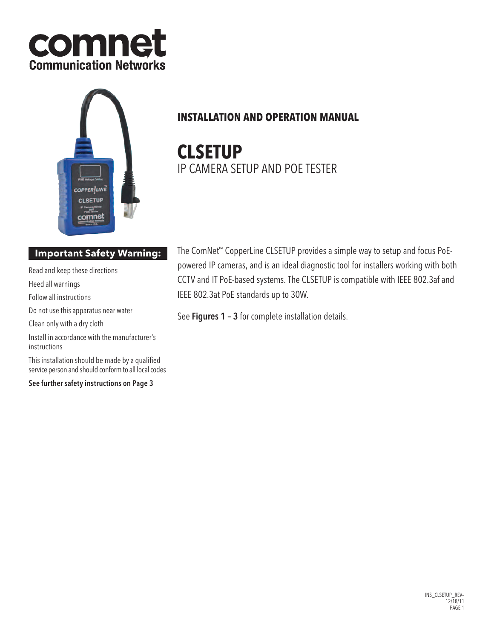



# **INSTALLATION AND OPERATION MANUAL**

**CLSETUP** IP Camera Setup and POE Tester

#### **Important Safety Warning:**

Read and keep these directions

Heed all warnings

Follow all instructions

Do not use this apparatus near water

Clean only with a dry cloth

Install in accordance with the manufacturer's instructions

This installation should be made by a qualified service person and should conform to all local codes

See further safety instructions on Page 3

The ComNet™ CopperLine CLSETUP provides a simple way to setup and focus PoEpowered IP cameras, and is an ideal diagnostic tool for installers working with both CCTV and IT PoE-based systems. The CLSETUP is compatible with IEEE 802.3af and IEEE 802.3at PoE standards up to 30W.

See Figures 1 - 3 for complete installation details.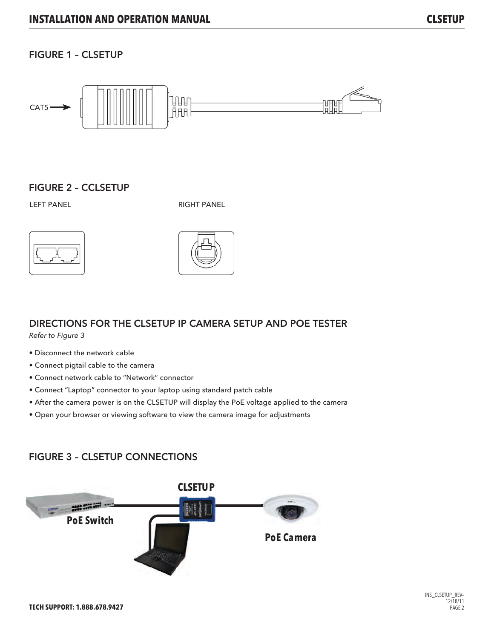### FIGURE 1 – CLSETUP



#### FIGURE 2 – CCLSETUP

LEFT PANEL NOTIFIED AND RIGHT PANEL





## Directions for the CLSETUP IP Camera Setup and POE Tester

Refer to Figure 3

- Disconnect the network cable
- Connect pigtail cable to the camera
- Connect network cable to "Network" connector
- Connect "Laptop" connector to your laptop using standard patch cable
- After the camera power is on the CLSETUP will display the PoE voltage applied to the camera
- Open your browser or viewing software to view the camera image for adjustments

#### FIGURE 3 – CLSETUP CONNECTIONS